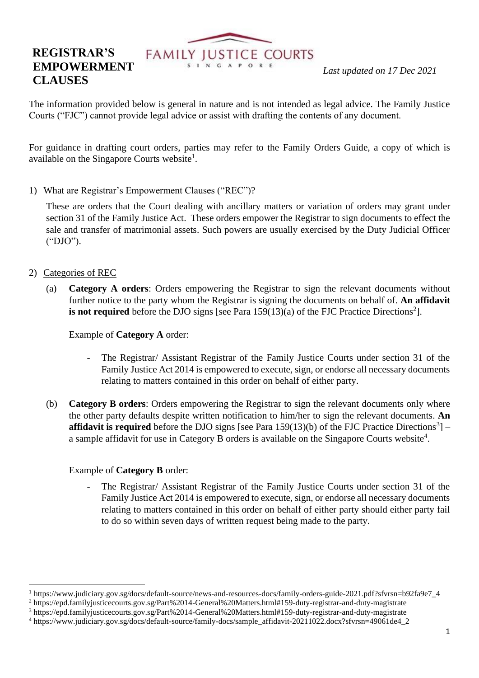# **FAMILY JUSTICE COURTS**<br> *Last updated on 17 Dec* 2021

## **REGISTRAR'S EMPOWERMENT CLAUSES**

The information provided below is general in nature and is not intended as legal advice. The Family Justice Courts ("FJC") cannot provide legal advice or assist with drafting the contents of any document.

For guidance in drafting court orders, parties may refer to the Family Orders Guide, a copy of which is available on the Singapore Courts website<sup>1</sup>.

1) What are Registrar's Empowerment Clauses ("REC")?

These are orders that the Court dealing with ancillary matters or variation of orders may grant under section 31 of the Family Justice Act. These orders empower the Registrar to sign documents to effect the sale and transfer of matrimonial assets. Such powers are usually exercised by the Duty Judicial Officer ("DJO").

- 2) Categories of REC
	- (a) **Category A orders**: Orders empowering the Registrar to sign the relevant documents without further notice to the party whom the Registrar is signing the documents on behalf of. **An affidavit**  is not required before the DJO signs [see Para  $159(13)(a)$  of the FJC Practice Directions<sup>2</sup>].

Example of **Category A** order:

- The Registrar/ Assistant Registrar of the Family Justice Courts under section 31 of the Family Justice Act 2014 is empowered to execute, sign, or endorse all necessary documents relating to matters contained in this order on behalf of either party.
- (b) **Category B orders**: Orders empowering the Registrar to sign the relevant documents only where the other party defaults despite written notification to him/her to sign the relevant documents. **An affidavit is required** before the DJO signs [see Para  $159(13)(b)$  of the FJC Practice Directions<sup>3</sup>] – a sample affidavit for use in Category B orders is available on the Singapore Courts website<sup>4</sup>.

### Example of **Category B** order:

The Registrar/ Assistant Registrar of the Family Justice Courts under section 31 of the Family Justice Act 2014 is empowered to execute, sign, or endorse all necessary documents relating to matters contained in this order on behalf of either party should either party fail to do so within seven days of written request being made to the party.

<sup>1</sup> [https://www.judiciary.gov.sg/docs/default-source/news-and-resources-docs/family-orders-guide-2021.pdf?sfvrsn=b92fa9e7\\_4](https://www.judiciary.gov.sg/docs/default-source/news-and-resources-docs/family-orders-guide-2021.pdf?sfvrsn=b92fa9e7_4)

<sup>2</sup> <https://epd.familyjusticecourts.gov.sg/Part%2014-General%20Matters.html#159-duty-registrar-and-duty-magistrate>

<sup>3</sup> <https://epd.familyjusticecourts.gov.sg/Part%2014-General%20Matters.html#159-duty-registrar-and-duty-magistrate> <sup>4</sup> [https://www.judiciary.gov.sg/docs/default-source/family-docs/sample\\_affidavit-20211022.docx?sfvrsn=49061de4\\_2](https://www.judiciary.gov.sg/docs/default-source/family-docs/sample_affidavit-20211022.docx?sfvrsn=49061de4_2)